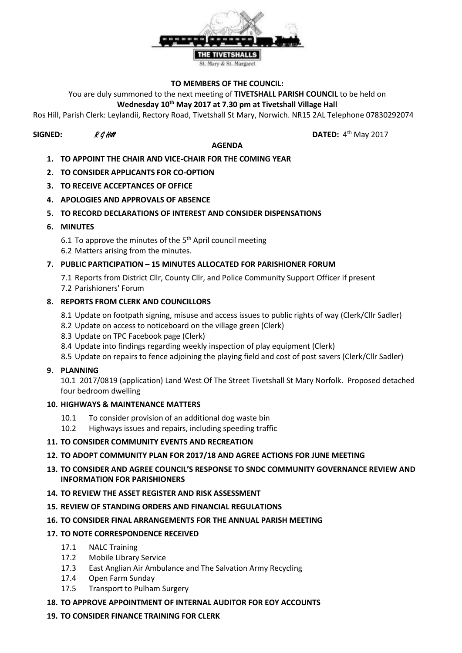

#### **TO MEMBERS OF THE COUNCIL:**

You are duly summoned to the next meeting of **TIVETSHALL PARISH COUNCIL** to be held on

# **Wednesday 10th May 2017 at 7.30 pm at Tivetshall Village Hall**

Ros Hill, Parish Clerk: Leylandii, Rectory Road, Tivetshall St Mary, Norwich. NR15 2AL Telephone 07830292074

# **SIGNED:**  $R \mathcal{G}$  Hill **DATED:** 4

# **AGENDA**

DATED:  $4<sup>th</sup>$  May 2017

- **1. TO APPOINT THE CHAIR AND VICE-CHAIR FOR THE COMING YEAR**
- **2. TO CONSIDER APPLICANTS FOR CO-OPTION**
- **3. TO RECEIVE ACCEPTANCES OF OFFICE**
- **4. APOLOGIES AND APPROVALS OF ABSENCE**

# **5. TO RECORD DECLARATIONS OF INTEREST AND CONSIDER DISPENSATIONS**

**6. MINUTES**

6.1 To approve the minutes of the  $5<sup>th</sup>$  April council meeting 6.2 Matters arising from the minutes.

### **7. PUBLIC PARTICIPATION – 15 MINUTES ALLOCATED FOR PARISHIONER FORUM**

7.1 Reports from District Cllr, County Cllr, and Police Community Support Officer if present 7.2 Parishioners' Forum

### **8. REPORTS FROM CLERK AND COUNCILLORS**

- 8.1 Update on footpath signing, misuse and access issues to public rights of way (Clerk/Cllr Sadler)
- 8.2 Update on access to noticeboard on the village green (Clerk)
- 8.3 Update on TPC Facebook page (Clerk)
- 8.4 Update into findings regarding weekly inspection of play equipment (Clerk)
- 8.5 Update on repairs to fence adjoining the playing field and cost of post savers (Clerk/Cllr Sadler)

#### **9. PLANNING**

10.1 2017/0819 (application) Land West Of The Street Tivetshall St Mary Norfolk. Proposed detached four bedroom dwelling

#### **10. HIGHWAYS & MAINTENANCE MATTERS**

- 10.1 To consider provision of an additional dog waste bin
- 10.2 Highways issues and repairs, including speeding traffic

#### **11. TO CONSIDER COMMUNITY EVENTS AND RECREATION**

#### **12. TO ADOPT COMMUNITY PLAN FOR 2017/18 AND AGREE ACTIONS FOR JUNE MEETING**

- **13. TO CONSIDER AND AGREE COUNCIL'S RESPONSE TO SNDC COMMUNITY GOVERNANCE REVIEW AND INFORMATION FOR PARISHIONERS**
- **14. TO REVIEW THE ASSET REGISTER AND RISK ASSESSMENT**
- **15. REVIEW OF STANDING ORDERS AND FINANCIAL REGULATIONS**
- **16. TO CONSIDER FINAL ARRANGEMENTS FOR THE ANNUAL PARISH MEETING**

# **17. TO NOTE CORRESPONDENCE RECEIVED**

- 17.1 NALC Training
- 17.2 Mobile Library Service
- 17.3 East Anglian Air Ambulance and The Salvation Army Recycling
- 17.4 Open Farm Sunday
- 17.5 Transport to Pulham Surgery

#### **18. TO APPROVE APPOINTMENT OF INTERNAL AUDITOR FOR EOY ACCOUNTS**

# **19. TO CONSIDER FINANCE TRAINING FOR CLERK**